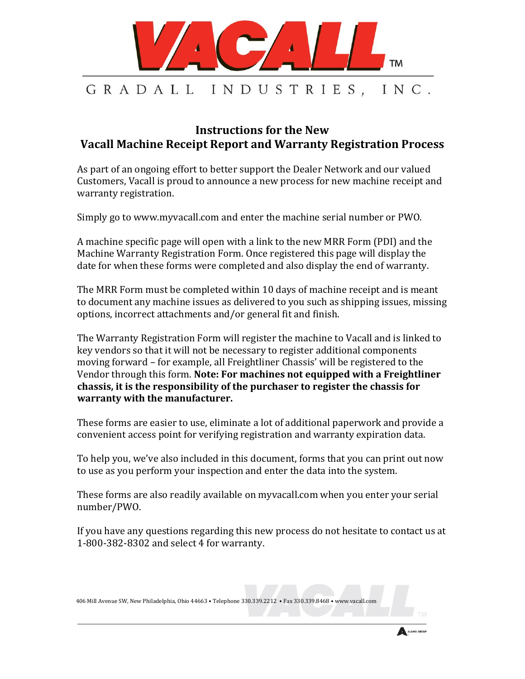

## **Instructions for the New Vacall Machine Receipt Report and Warranty Registration Process**

As part of an ongoing effort to better support the Dealer Network and our valued Customers, Vacall is proud to announce a new process for new machine receipt and warranty registration.

Simply go to www.myvacall.com and enter the machine serial number or PWO.

A machine specific page will open with a link to the new MRR Form (PDI) and the Machine Warranty Registration Form. Once registered this page will display the date for when these forms were completed and also display the end of warranty.

The MRR Form must be completed within 10 days of machine receipt and is meant to document any machine issues as delivered to you such as shipping issues, missing options, incorrect attachments and/or general fit and finish.

The Warranty Registration Form will register the machine to Vacall and is linked to key vendors so that it will not be necessary to register additional components moving forward – for example, all Freightliner Chassis' will be registered to the Vendor through this form. **Note: For machines not equipped with a Freightliner chassis, it is the responsibility of the purchaser to register the chassis for warranty with the manufacturer.**

These forms are easier to use, eliminate a lot of additional paperwork and provide a convenient access point for verifying registration and warranty expiration data.

To help you, we've also included in this document, forms that you can print out now to use as you perform your inspection and enter the data into the system.

These forms are also readily available on myvacall.com when you enter your serial number/PWO.

If you have any questions regarding this new process do not hesitate to contact us at 1-800-382-8302 and select 4 for warranty.

406 Mill Avenue SW, New Philadelphia, Ohio 44663 • Telephone 330.339.2212 • Fax 330.339.8468 • www.vacall.com

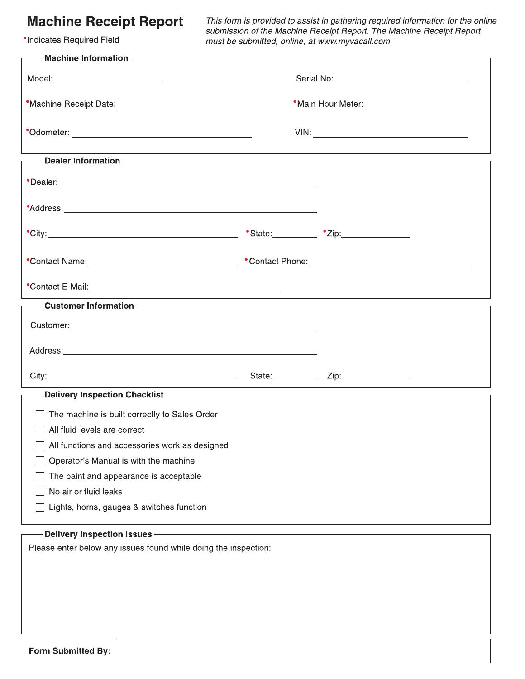## **Machine Receipt Report**

**\*Indicates Required Field** 

This form is provided to assist in gathering required information for the online<br>submission of the Machine Receipt Report. The Machine Receipt Report must be submitted, online, at www.myvacall.com

| —— Machine Information ————————————————————————————                                                                                                                                                                            |                                            |                                                                                  |  |  |
|--------------------------------------------------------------------------------------------------------------------------------------------------------------------------------------------------------------------------------|--------------------------------------------|----------------------------------------------------------------------------------|--|--|
| Model:___________________________                                                                                                                                                                                              |                                            |                                                                                  |  |  |
|                                                                                                                                                                                                                                | *Main Hour Meter: ________________________ |                                                                                  |  |  |
|                                                                                                                                                                                                                                |                                            |                                                                                  |  |  |
|                                                                                                                                                                                                                                |                                            | ,我们也不会有什么。""我们的人,我们也不会有什么?""我们的人,我们也不会有什么?""我们的人,我们也不会有什么?""我们的人,我们也不会有什么?""我们的人 |  |  |
| *Dealer: Note and the set of the set of the set of the set of the set of the set of the set of the set of the set of the set of the set of the set of the set of the set of the set of the set of the set of the set of the se |                                            |                                                                                  |  |  |
|                                                                                                                                                                                                                                |                                            |                                                                                  |  |  |
|                                                                                                                                                                                                                                |                                            |                                                                                  |  |  |
|                                                                                                                                                                                                                                |                                            |                                                                                  |  |  |
|                                                                                                                                                                                                                                |                                            |                                                                                  |  |  |
| <b>Example 20 Customer Information Customer Information Customer Information</b>                                                                                                                                               |                                            |                                                                                  |  |  |
| Customer: <u>Customer Secrets and Customers and Customers and Customers and Customers</u>                                                                                                                                      |                                            |                                                                                  |  |  |
|                                                                                                                                                                                                                                |                                            |                                                                                  |  |  |
|                                                                                                                                                                                                                                |                                            |                                                                                  |  |  |
| — Delivery Inspection Checklist ——————————————                                                                                                                                                                                 |                                            |                                                                                  |  |  |
| The machine is built correctly to Sales Order                                                                                                                                                                                  |                                            |                                                                                  |  |  |
| $\Box$ All fluid levels are correct                                                                                                                                                                                            |                                            |                                                                                  |  |  |
| All functions and accessories work as designed                                                                                                                                                                                 |                                            |                                                                                  |  |  |
| Operator's Manual is with the machine                                                                                                                                                                                          |                                            |                                                                                  |  |  |
| The paint and appearance is acceptable                                                                                                                                                                                         |                                            |                                                                                  |  |  |
| No air or fluid leaks                                                                                                                                                                                                          |                                            |                                                                                  |  |  |
| Lights, horns, gauges & switches function                                                                                                                                                                                      |                                            |                                                                                  |  |  |
| Delivery Inspection Issues -                                                                                                                                                                                                   |                                            |                                                                                  |  |  |
| Please enter below any issues found while doing the inspection:                                                                                                                                                                |                                            |                                                                                  |  |  |
|                                                                                                                                                                                                                                |                                            |                                                                                  |  |  |
|                                                                                                                                                                                                                                |                                            |                                                                                  |  |  |
|                                                                                                                                                                                                                                |                                            |                                                                                  |  |  |
|                                                                                                                                                                                                                                |                                            |                                                                                  |  |  |
|                                                                                                                                                                                                                                |                                            |                                                                                  |  |  |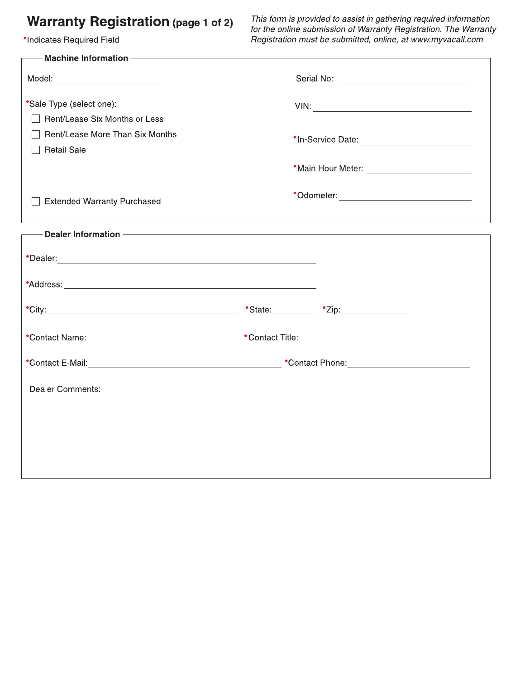## **Warranty Registration (page 1 of 2)**

**\*Indicates Required Field** 

This form is provided to assist in gathering required information for the online submission of Warranty Registration. The Warranty Registration must be submitted, online, at www.myvacall.com

| Machine Information - <b>Machine</b>                                                                                                                                                                                          |                                                                                                                                                                                                                                                                                                                                                                                                                 |                                             |  |
|-------------------------------------------------------------------------------------------------------------------------------------------------------------------------------------------------------------------------------|-----------------------------------------------------------------------------------------------------------------------------------------------------------------------------------------------------------------------------------------------------------------------------------------------------------------------------------------------------------------------------------------------------------------|---------------------------------------------|--|
| Model:___________________________                                                                                                                                                                                             |                                                                                                                                                                                                                                                                                                                                                                                                                 |                                             |  |
| *Sale Type (select one):<br>Rent/Lease Six Months or Less                                                                                                                                                                     | $VIN: \begin{tabular}{lllllllllll} \hline \rule[1mm]{1mm}{6mm} & \rule[1mm]{1mm}{6mm} & \rule[1mm]{1mm}{6mm} & \rule[1mm]{1mm}{6mm} & \rule[1mm]{1mm}{6mm} & \rule[1mm]{1mm}{6mm} & \rule[1mm]{1mm}{6mm} & \rule[1mm]{1mm}{6mm} & \rule[1mm]{1mm}{6mm} & \rule[1mm]{1mm}{6mm} & \rule[1mm]{1mm}{6mm} & \rule[1mm]{1mm}{6mm} & \rule[1mm]{1mm}{6mm} & \rule[1mm]{1mm}{6mm} & \rule[1mm]{1mm}{6mm} & \rule[1mm]{$ |                                             |  |
| Rent/Lease More Than Six Months<br><b>Retail Sale</b>                                                                                                                                                                         | *In-Service Date: <u>www.community.com</u>                                                                                                                                                                                                                                                                                                                                                                      |                                             |  |
|                                                                                                                                                                                                                               |                                                                                                                                                                                                                                                                                                                                                                                                                 | *Main Hour Meter: _________________________ |  |
| <b>Extended Warranty Purchased</b>                                                                                                                                                                                            | *Odometer: ________________________________                                                                                                                                                                                                                                                                                                                                                                     |                                             |  |
| - Dealer Information - The Contract of the Contract of the Contract of the Contract of the Contract of the Con                                                                                                                |                                                                                                                                                                                                                                                                                                                                                                                                                 |                                             |  |
| *Dealer: Note and the second contract of the second contract of the second contract of the second contract of the second contract of the second contract of the second contract of the second contract of the second contract |                                                                                                                                                                                                                                                                                                                                                                                                                 |                                             |  |
|                                                                                                                                                                                                                               |                                                                                                                                                                                                                                                                                                                                                                                                                 |                                             |  |
|                                                                                                                                                                                                                               |                                                                                                                                                                                                                                                                                                                                                                                                                 |                                             |  |
|                                                                                                                                                                                                                               |                                                                                                                                                                                                                                                                                                                                                                                                                 |                                             |  |
|                                                                                                                                                                                                                               |                                                                                                                                                                                                                                                                                                                                                                                                                 |                                             |  |
| <b>Dealer Comments:</b>                                                                                                                                                                                                       |                                                                                                                                                                                                                                                                                                                                                                                                                 |                                             |  |
|                                                                                                                                                                                                                               |                                                                                                                                                                                                                                                                                                                                                                                                                 |                                             |  |
|                                                                                                                                                                                                                               |                                                                                                                                                                                                                                                                                                                                                                                                                 |                                             |  |
|                                                                                                                                                                                                                               |                                                                                                                                                                                                                                                                                                                                                                                                                 |                                             |  |